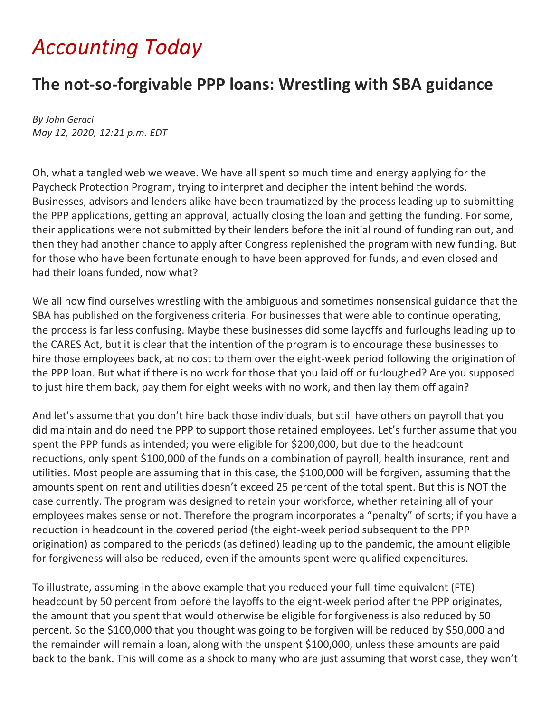## *Accounting Today*

## **The not-so-forgivable PPP loans: Wrestling with SBA guidance**

*By [John Geraci](https://www.accountingtoday.com/author/john-geraci) May 12, 2020, 12:21 p.m. EDT* 

Oh, what a tangled web we weave. We have all spent so much time and energy applying for the Paycheck Protection Program, trying to interpret and decipher the intent behind the words. Businesses, advisors and lenders alike have been traumatized by the process leading up to submitting the PPP applications, getting an approval, actually closing the loan and getting the funding. For some, their applications were not submitted by their lenders before the initial round of funding ran out, and then they had another chance to apply after Congress replenished the program with new funding. But for those who have been fortunate enough to have been approved for funds, and even closed and had their loans funded, now what?

We all now find ourselves wrestling with the ambiguous and sometimes nonsensical guidance that the SBA has published on the forgiveness criteria. For businesses that were able to continue operating, the process is far less confusing. Maybe these businesses did some layoffs and furloughs leading up to the CARES Act, but it is clear that the intention of the program is to encourage these businesses to hire those employees back, at no cost to them over the eight-week period following the origination of the PPP loan. But what if there is no work for those that you laid off or furloughed? Are you supposed to just hire them back, pay them for eight weeks with no work, and then lay them off again?

And let's assume that you don't hire back those individuals, but still have others on payroll that you did maintain and do need the PPP to support those retained employees. Let's further assume that you spent the PPP funds as intended; you were eligible for \$200,000, but due to the headcount reductions, only spent \$100,000 of the funds on a combination of payroll, health insurance, rent and utilities. Most people are assuming that in this case, the \$100,000 will be forgiven, assuming that the amounts spent on rent and utilities doesn't exceed 25 percent of the total spent. But this is NOT the case currently. The program was designed to retain your workforce, whether retaining all of your employees makes sense or not. Therefore the program incorporates a "penalty" of sorts; if you have a reduction in headcount in the covered period (the eight-week period subsequent to the PPP origination) as compared to the periods (as defined) leading up to the pandemic, the amount eligible for forgiveness will also be reduced, even if the amounts spent were qualified expenditures.

To illustrate, assuming in the above example that you reduced your full-time equivalent (FTE) headcount by 50 percent from before the layoffs to the eight-week period after the PPP originates, the amount that you spent that would otherwise be eligible for forgiveness is also reduced by 50 percent. So the \$100,000 that you thought was going to be forgiven will be reduced by \$50,000 and the remainder will remain a loan, along with the unspent \$100,000, unless these amounts are paid back to the bank. This will come as a shock to many who are just assuming that worst case, they won't